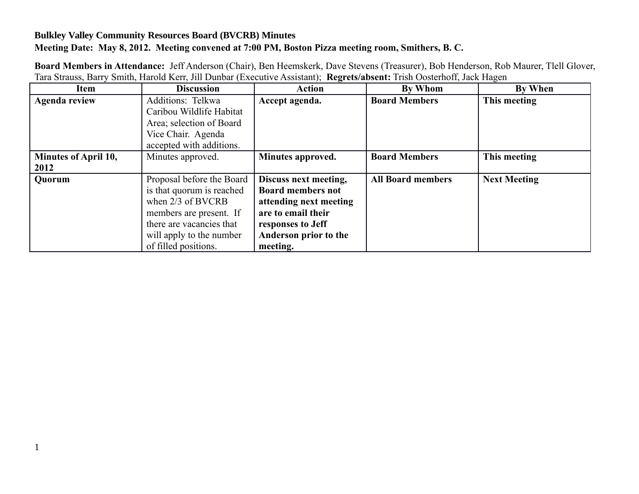## **Bulkley Valley Community Resources Board (BVCRB) Minutes Meeting Date: May 8, 2012. Meeting convened at 7:00 PM, Boston Pizza meeting room, Smithers, B. C.**

| <b>Item</b>          | <b>Discussion</b>         | <b>Action</b>            | <b>By Whom</b>           | <b>By When</b>      |
|----------------------|---------------------------|--------------------------|--------------------------|---------------------|
| <b>Agenda review</b> | Additions: Telkwa         | Accept agenda.           | <b>Board Members</b>     | This meeting        |
|                      | Caribou Wildlife Habitat  |                          |                          |                     |
|                      | Area; selection of Board  |                          |                          |                     |
|                      | Vice Chair. Agenda        |                          |                          |                     |
|                      | accepted with additions.  |                          |                          |                     |
| Minutes of April 10, | Minutes approved.         | Minutes approved.        | <b>Board Members</b>     | This meeting        |
| 2012                 |                           |                          |                          |                     |
| <b>Quorum</b>        | Proposal before the Board | Discuss next meeting,    | <b>All Board members</b> | <b>Next Meeting</b> |
|                      | is that quorum is reached | <b>Board members not</b> |                          |                     |
|                      | when $2/3$ of BVCRB       | attending next meeting   |                          |                     |
|                      | members are present. If   | are to email their       |                          |                     |
|                      | there are vacancies that  | responses to Jeff        |                          |                     |
|                      | will apply to the number  | Anderson prior to the    |                          |                     |
|                      | of filled positions.      | meeting.                 |                          |                     |

**Board Members in Attendance:** Jeff Anderson (Chair), Ben Heemskerk, Dave Stevens (Treasurer), Bob Henderson, Rob Maurer, Tlell Glover, Tara Strauss, Barry Smith, Harold Kerr, Jill Dunbar (Executive Assistant); **Regrets/absent:** Trish Oosterhoff, Jack Hagen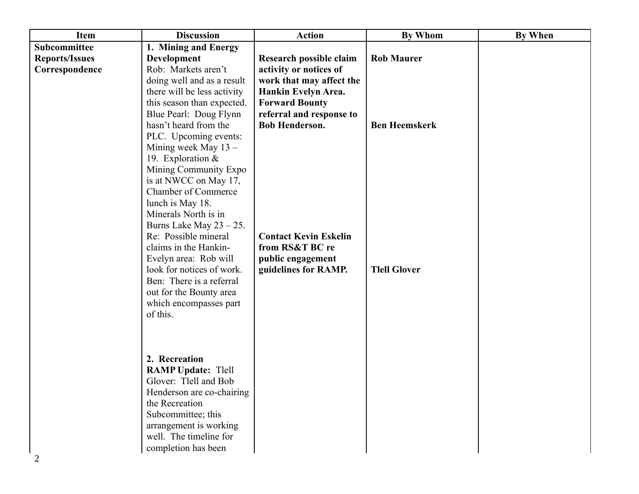| <b>Item</b>           | <b>Discussion</b>           | <b>Action</b>                | <b>By Whom</b>       | <b>By When</b> |
|-----------------------|-----------------------------|------------------------------|----------------------|----------------|
| Subcommittee          | 1. Mining and Energy        |                              |                      |                |
| <b>Reports/Issues</b> | <b>Development</b>          | Research possible claim      | <b>Rob Maurer</b>    |                |
| Correspondence        | Rob: Markets aren't         | activity or notices of       |                      |                |
|                       | doing well and as a result  | work that may affect the     |                      |                |
|                       | there will be less activity | Hankin Evelyn Area.          |                      |                |
|                       | this season than expected.  | <b>Forward Bounty</b>        |                      |                |
|                       | Blue Pearl: Doug Flynn      | referral and response to     |                      |                |
|                       | hasn't heard from the       | <b>Bob Henderson.</b>        | <b>Ben Heemskerk</b> |                |
|                       | PLC. Upcoming events:       |                              |                      |                |
|                       | Mining week May $13 -$      |                              |                      |                |
|                       | 19. Exploration $&$         |                              |                      |                |
|                       | Mining Community Expo       |                              |                      |                |
|                       | is at NWCC on May 17,       |                              |                      |                |
|                       | <b>Chamber of Commerce</b>  |                              |                      |                |
|                       | lunch is May 18.            |                              |                      |                |
|                       | Minerals North is in        |                              |                      |                |
|                       | Burns Lake May $23 - 25$ .  |                              |                      |                |
|                       | Re: Possible mineral        | <b>Contact Kevin Eskelin</b> |                      |                |
|                       | claims in the Hankin-       | from RS&T BC re              |                      |                |
|                       | Evelyn area: Rob will       | public engagement            |                      |                |
|                       | look for notices of work.   | guidelines for RAMP.         | <b>Tlell Glover</b>  |                |
|                       | Ben: There is a referral    |                              |                      |                |
|                       | out for the Bounty area     |                              |                      |                |
|                       | which encompasses part      |                              |                      |                |
|                       | of this.                    |                              |                      |                |
|                       |                             |                              |                      |                |
|                       |                             |                              |                      |                |
|                       |                             |                              |                      |                |
|                       | 2. Recreation               |                              |                      |                |
|                       | <b>RAMP Update: Tlell</b>   |                              |                      |                |
|                       | Glover: Tlell and Bob       |                              |                      |                |
|                       | Henderson are co-chairing   |                              |                      |                |
|                       | the Recreation              |                              |                      |                |
|                       | Subcommittee; this          |                              |                      |                |
|                       | arrangement is working      |                              |                      |                |
|                       | well. The timeline for      |                              |                      |                |
|                       | completion has been         |                              |                      |                |
|                       |                             |                              |                      |                |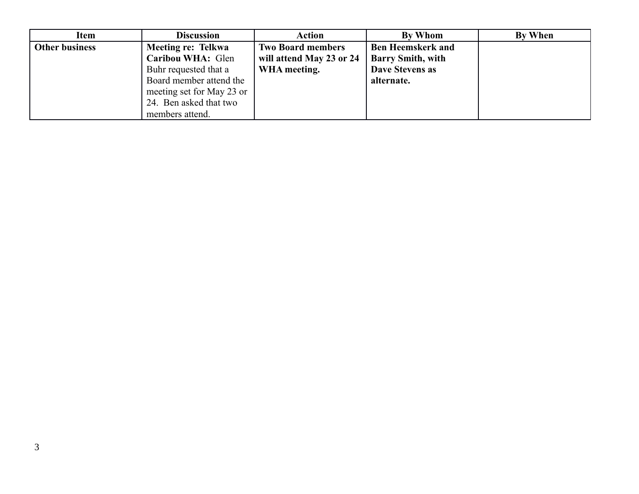| Item                  | <b>Discussion</b>         | Action                   | By Whom                  | By When |
|-----------------------|---------------------------|--------------------------|--------------------------|---------|
| <b>Other business</b> | Meeting re: Telkwa        | <b>Two Board members</b> | <b>Ben Heemskerk and</b> |         |
|                       | Caribou WHA: Glen         | will attend May 23 or 24 | <b>Barry Smith, with</b> |         |
|                       | Buhr requested that a     | WHA meeting.             | Dave Stevens as          |         |
|                       | Board member attend the   |                          | alternate.               |         |
|                       | meeting set for May 23 or |                          |                          |         |
|                       | 24. Ben asked that two    |                          |                          |         |
|                       | members attend.           |                          |                          |         |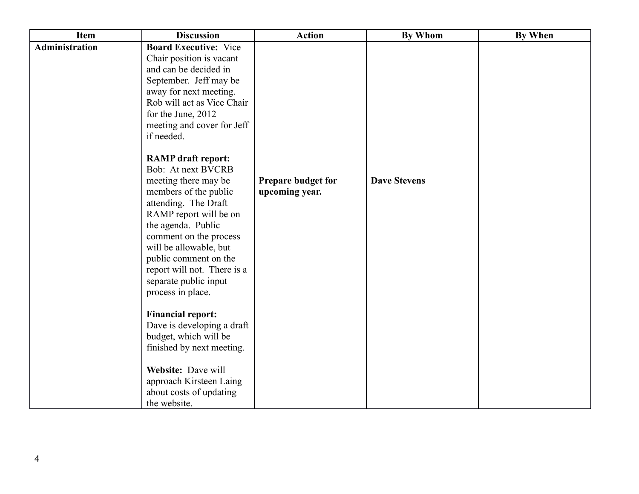| <b>Item</b>    | <b>Discussion</b>                                                                                                                                                                                                                                                                                                                                                                                                                                                                                                                                                                  | <b>Action</b>                        | <b>By Whom</b>      | <b>By When</b> |
|----------------|------------------------------------------------------------------------------------------------------------------------------------------------------------------------------------------------------------------------------------------------------------------------------------------------------------------------------------------------------------------------------------------------------------------------------------------------------------------------------------------------------------------------------------------------------------------------------------|--------------------------------------|---------------------|----------------|
| Administration | <b>Board Executive: Vice</b><br>Chair position is vacant<br>and can be decided in<br>September. Jeff may be<br>away for next meeting.<br>Rob will act as Vice Chair<br>for the June, 2012<br>meeting and cover for Jeff<br>if needed.<br><b>RAMP</b> draft report:<br><b>Bob: At next BVCRB</b><br>meeting there may be<br>members of the public<br>attending. The Draft<br>RAMP report will be on<br>the agenda. Public<br>comment on the process<br>will be allowable, but<br>public comment on the<br>report will not. There is a<br>separate public input<br>process in place. | Prepare budget for<br>upcoming year. | <b>Dave Stevens</b> |                |
|                | <b>Financial report:</b><br>Dave is developing a draft<br>budget, which will be<br>finished by next meeting.<br>Website: Dave will<br>approach Kirsteen Laing<br>about costs of updating<br>the website.                                                                                                                                                                                                                                                                                                                                                                           |                                      |                     |                |